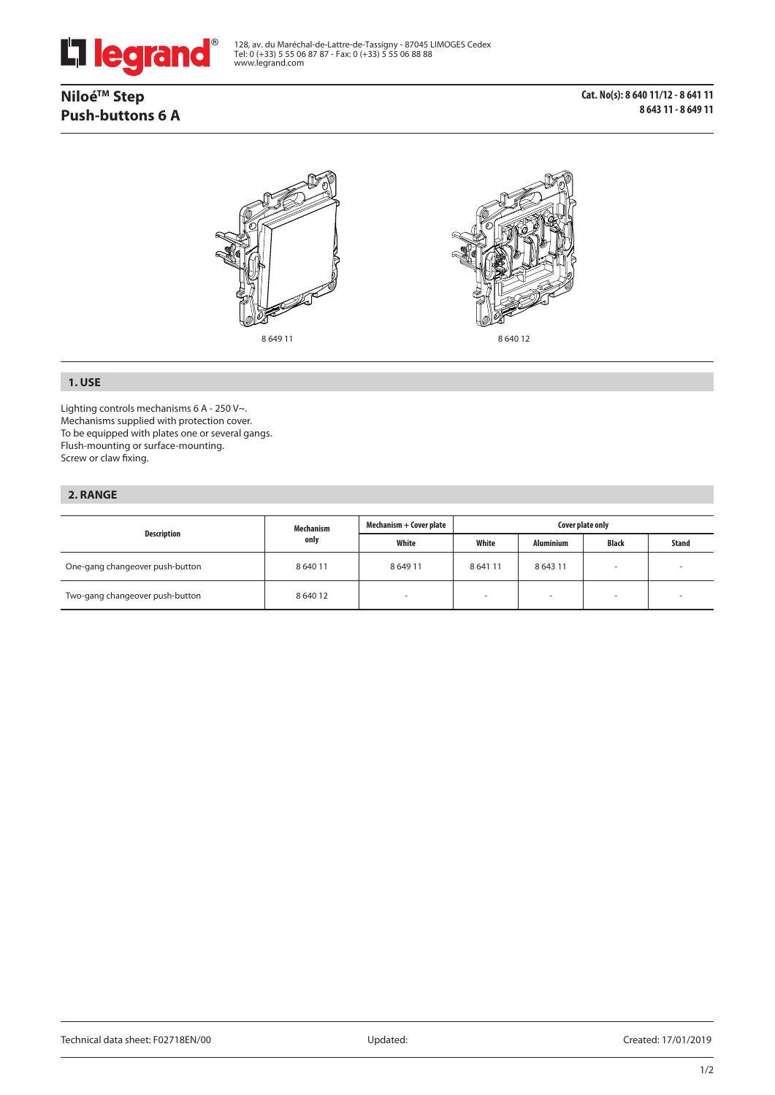

128, av. du Maréchal-de-Lattre-de-Tassigny - 87045 LIMOGES Cedex Tel: 0 (+33) 5 55 06 87 87 - Fax: 0 (+33) 5 55 06 88 88 www.legrand.com

# **NiloéTM Step Push-buttons 6 A**

**Cat. No(s): 8 640 11/12 - 8 641 11 8 643 11 - 8 649 11**



8 649 11 8 640 12



### **1. USE**

Lighting controls mechanisms 6 A - 250 V~. Mechanisms supplied with protection cover. To be equipped with plates one or several gangs. Flush-mounting or surface-mounting. Screw or claw fixing.

### **2. RANGE**

| Mechanism<br>Description<br>only |          | Mechanism + Cover plate | Cover plate only         |                          |       |  |
|----------------------------------|----------|-------------------------|--------------------------|--------------------------|-------|--|
|                                  | White    | White                   | <b>Aluminium</b>         | <b>Black</b>             | Stand |  |
| One-gang changeover push-button  | 8 640 11 | 864911                  | 864111                   | 8 6 4 3 1 1              | -     |  |
| Two-gang changeover push-button  | 8 640 12 |                         | $\overline{\phantom{a}}$ | $\overline{\phantom{a}}$ | -     |  |